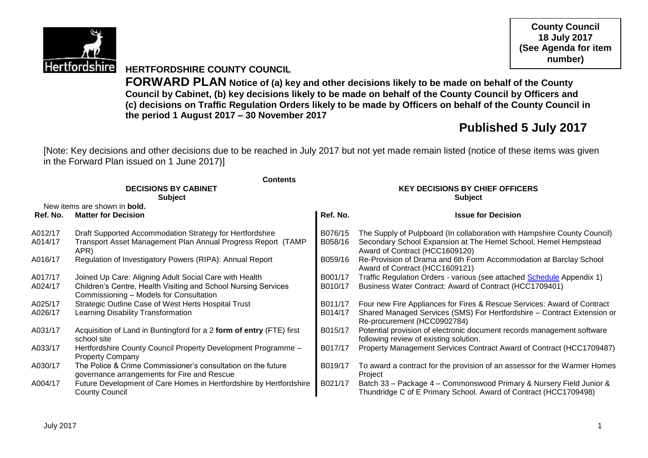

**County Council 18 July 2017 (See Agenda for item number)**

### **HERTFORDSHIRE COUNTY COUNCIL**

**FORWARD PLAN Notice of (a) key and other decisions likely to be made on behalf of the County Council by Cabinet, (b) key decisions likely to be made on behalf of the County Council by Officers and (c) decisions on Traffic Regulation Orders likely to be made by Officers on behalf of the County Council in the period 1 August 2017 – 30 November 2017**

# **Published 5 July 2017**

[Note: Key decisions and other decisions due to be reached in July 2017 but not yet made remain listed (notice of these items was given in the Forward Plan issued on 1 June 2017)]

|          | <b>Contents</b>                                                                                             |                                                          |                                                                                                                                         |  |  |
|----------|-------------------------------------------------------------------------------------------------------------|----------------------------------------------------------|-----------------------------------------------------------------------------------------------------------------------------------------|--|--|
|          | <b>DECISIONS BY CABINET</b><br><b>Subject</b>                                                               | <b>KEY DECISIONS BY CHIEF OFFICERS</b><br><b>Subject</b> |                                                                                                                                         |  |  |
|          | New items are shown in <b>bold.</b>                                                                         |                                                          |                                                                                                                                         |  |  |
| Ref. No. | <b>Matter for Decision</b>                                                                                  | Ref. No.                                                 | <b>Issue for Decision</b>                                                                                                               |  |  |
| A012/17  | Draft Supported Accommodation Strategy for Hertfordshire                                                    | B076/15                                                  | The Supply of Pulpboard (In collaboration with Hampshire County Council)                                                                |  |  |
| A014/17  | Transport Asset Management Plan Annual Progress Report (TAMP<br>APR)                                        | B058/16                                                  | Secondary School Expansion at The Hemel School, Hemel Hempstead<br>Award of Contract (HCC1609120)                                       |  |  |
| A016/17  | Regulation of Investigatory Powers (RIPA): Annual Report                                                    | B059/16                                                  | Re-Provision of Drama and 6th Form Accommodation at Barclay School<br>Award of Contract (HCC1609121)                                    |  |  |
| A017/17  | Joined Up Care: Aligning Adult Social Care with Health                                                      | B001/17                                                  | Traffic Regulation Orders - various (see attached Schedule Appendix 1)                                                                  |  |  |
| A024/17  | Children's Centre, Health Visiting and School Nursing Services<br>Commissioning - Models for Consultation   | B010/17                                                  | Business Water Contract: Award of Contract (HCC1709401)                                                                                 |  |  |
| A025/17  | Strategic Outline Case of West Herts Hospital Trust                                                         | B011/17                                                  | Four new Fire Appliances for Fires & Rescue Services: Award of Contract                                                                 |  |  |
| A026/17  | Learning Disability Transformation                                                                          | B014/17                                                  | Shared Managed Services (SMS) For Hertfordshire - Contract Extension or<br>Re-procurement (HCC0902784)                                  |  |  |
| A031/17  | Acquisition of Land in Buntingford for a 2 form of entry (FTE) first<br>school site                         | B015/17                                                  | Potential provision of electronic document records management software<br>following review of existing solution.                        |  |  |
| A033/17  | Hertfordshire County Council Property Development Programme -<br><b>Property Company</b>                    | B017/17                                                  | Property Management Services Contract Award of Contract (HCC1709487)                                                                    |  |  |
| A030/17  | The Police & Crime Commissioner's consultation on the future<br>governance arrangements for Fire and Rescue | B019/17                                                  | To award a contract for the provision of an assessor for the Warmer Homes<br>Project                                                    |  |  |
| A004/17  | Future Development of Care Homes in Hertfordshire by Hertfordshire<br><b>County Council</b>                 | B021/17                                                  | Batch 33 - Package 4 - Commonswood Primary & Nursery Field Junior &<br>Thundridge C of E Primary School. Award of Contract (HCC1709498) |  |  |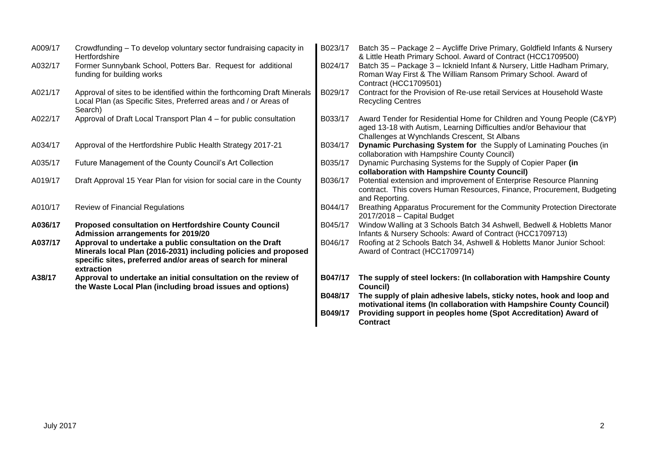| A009/17 | Crowdfunding – To develop voluntary sector fundraising capacity in<br>Hertfordshire                                                                                                                       | B023/17 | Batch 35 - Package 2 - Aycliffe Drive Primary, Goldfield Infants & Nursery<br>& Little Heath Primary School. Award of Contract (HCC1709500)                                                   |
|---------|-----------------------------------------------------------------------------------------------------------------------------------------------------------------------------------------------------------|---------|-----------------------------------------------------------------------------------------------------------------------------------------------------------------------------------------------|
| A032/17 | Former Sunnybank School, Potters Bar. Request for additional<br>funding for building works                                                                                                                | B024/17 | Batch 35 - Package 3 - Icknield Infant & Nursery, Little Hadham Primary,<br>Roman Way First & The William Ransom Primary School. Award of<br>Contract (HCC1709501)                            |
| A021/17 | Approval of sites to be identified within the forthcoming Draft Minerals<br>Local Plan (as Specific Sites, Preferred areas and / or Areas of<br>Search)                                                   | B029/17 | Contract for the Provision of Re-use retail Services at Household Waste<br><b>Recycling Centres</b>                                                                                           |
| A022/17 | Approval of Draft Local Transport Plan 4 – for public consultation                                                                                                                                        | B033/17 | Award Tender for Residential Home for Children and Young People (C&YP)<br>aged 13-18 with Autism, Learning Difficulties and/or Behaviour that<br>Challenges at Wynchlands Crescent, St Albans |
| A034/17 | Approval of the Hertfordshire Public Health Strategy 2017-21                                                                                                                                              | B034/17 | Dynamic Purchasing System for the Supply of Laminating Pouches (in<br>collaboration with Hampshire County Council)                                                                            |
| A035/17 | Future Management of the County Council's Art Collection                                                                                                                                                  | B035/17 | Dynamic Purchasing Systems for the Supply of Copier Paper (in<br>collaboration with Hampshire County Council)                                                                                 |
| A019/17 | Draft Approval 15 Year Plan for vision for social care in the County                                                                                                                                      | B036/17 | Potential extension and improvement of Enterprise Resource Planning<br>contract. This covers Human Resources, Finance, Procurement, Budgeting<br>and Reporting.                               |
| A010/17 | <b>Review of Financial Regulations</b>                                                                                                                                                                    | B044/17 | Breathing Apparatus Procurement for the Community Protection Directorate<br>$2017/2018$ - Capital Budget                                                                                      |
| A036/17 | Proposed consultation on Hertfordshire County Council<br>Admission arrangements for 2019/20                                                                                                               | B045/17 | Window Walling at 3 Schools Batch 34 Ashwell, Bedwell & Hobletts Manor<br>Infants & Nursery Schools: Award of Contract (HCC1709713)                                                           |
| A037/17 | Approval to undertake a public consultation on the Draft<br>Minerals local Plan (2016-2031) including policies and proposed<br>specific sites, preferred and/or areas of search for mineral<br>extraction | B046/17 | Roofing at 2 Schools Batch 34, Ashwell & Hobletts Manor Junior School:<br>Award of Contract (HCC1709714)                                                                                      |
| A38/17  | Approval to undertake an initial consultation on the review of<br>the Waste Local Plan (including broad issues and options)                                                                               | B047/17 | The supply of steel lockers: (In collaboration with Hampshire County<br>Council)                                                                                                              |
|         |                                                                                                                                                                                                           | B048/17 | The supply of plain adhesive labels, sticky notes, hook and loop and<br>motivational items (In collaboration with Hampshire County Council)                                                   |
|         |                                                                                                                                                                                                           | B049/17 | Providing support in peoples home (Spot Accreditation) Award of<br><b>Contract</b>                                                                                                            |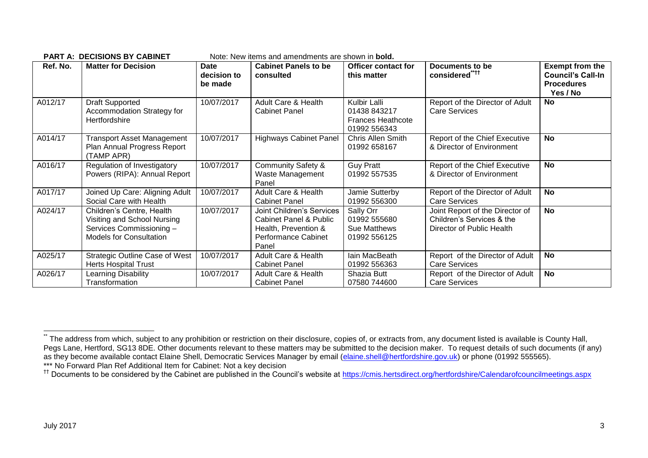|          | <b>PART A: DECISIONS BY CABINET</b><br>Note: New items and amendments are shown in <b>bold.</b>                        |                                |                                                                                                                               |                                                                          |                                                                                           |                                                                                     |  |
|----------|------------------------------------------------------------------------------------------------------------------------|--------------------------------|-------------------------------------------------------------------------------------------------------------------------------|--------------------------------------------------------------------------|-------------------------------------------------------------------------------------------|-------------------------------------------------------------------------------------|--|
| Ref. No. | <b>Matter for Decision</b>                                                                                             | Date<br>decision to<br>be made | <b>Cabinet Panels to be</b><br>consulted                                                                                      | <b>Officer contact for</b><br>this matter                                | Documents to be<br>considered****                                                         | <b>Exempt from the</b><br><b>Council's Call-In</b><br><b>Procedures</b><br>Yes / No |  |
| A012/17  | <b>Draft Supported</b><br>Accommodation Strategy for<br>Hertfordshire                                                  | 10/07/2017                     | Adult Care & Health<br><b>Cabinet Panel</b>                                                                                   | Kulbir Lalli<br>01438 843217<br><b>Frances Heathcote</b><br>01992 556343 | Report of the Director of Adult<br><b>Care Services</b>                                   | No                                                                                  |  |
| A014/17  | <b>Transport Asset Management</b><br>Plan Annual Progress Report<br>(TAMP APR)                                         | 10/07/2017                     | <b>Highways Cabinet Panel</b>                                                                                                 | Chris Allen Smith<br>01992 658167                                        | Report of the Chief Executive<br>& Director of Environment                                | No                                                                                  |  |
| A016/17  | Regulation of Investigatory<br>Powers (RIPA): Annual Report                                                            | 10/07/2017                     | <b>Community Safety &amp;</b><br>Waste Management<br>Panel                                                                    | <b>Guy Pratt</b><br>01992 557535                                         | Report of the Chief Executive<br>& Director of Environment                                | No                                                                                  |  |
| A017/17  | Joined Up Care: Aligning Adult<br>Social Care with Health                                                              | 10/07/2017                     | Adult Care & Health<br><b>Cabinet Panel</b>                                                                                   | Jamie Sutterby<br>01992 556300                                           | Report of the Director of Adult<br><b>Care Services</b>                                   | <b>No</b>                                                                           |  |
| A024/17  | Children's Centre, Health<br>Visiting and School Nursing<br>Services Commissioning -<br><b>Models for Consultation</b> | 10/07/2017                     | <b>Joint Children's Services</b><br><b>Cabinet Panel &amp; Public</b><br>Health, Prevention &<br>Performance Cabinet<br>Panel | Sally Orr<br>01992 555680<br>Sue Matthews<br>01992 556125                | Joint Report of the Director of<br>Children's Services & the<br>Director of Public Health | <b>No</b>                                                                           |  |
| A025/17  | <b>Strategic Outline Case of West</b><br><b>Herts Hospital Trust</b>                                                   | 10/07/2017                     | <b>Adult Care &amp; Health</b><br><b>Cabinet Panel</b>                                                                        | Iain MacBeath<br>01992 556363                                            | Report of the Director of Adult<br><b>Care Services</b>                                   | <b>No</b>                                                                           |  |
| A026/17  | Learning Disability<br>Transformation                                                                                  | 10/07/2017                     | <b>Adult Care &amp; Health</b><br><b>Cabinet Panel</b>                                                                        | Shazia Butt<br>07580 744600                                              | Report of the Director of Adult<br>Care Services                                          | No                                                                                  |  |

1

<sup>\*</sup> The address from which, subject to any prohibition or restriction on their disclosure, copies of, or extracts from, any document listed is available is County Hall, Pegs Lane, Hertford, SG13 8DE. Other documents relevant to these matters may be submitted to the decision maker. To request details of such documents (if any) as they become available contact Elaine Shell, Democratic Services Manager by email [\(elaine.shell@hertfordshire.gov.uk\)](mailto:elaine.shell@hertfordshire.gov.uk) or phone (01992 555565). \*\*\* No Forward Plan Ref Additional Item for Cabinet: Not a key decision

<sup>&</sup>lt;sup>††</sup> Documents to be considered by the Cabinet are published in the Council's website at<https://cmis.hertsdirect.org/hertfordshire/Calendarofcouncilmeetings.aspx>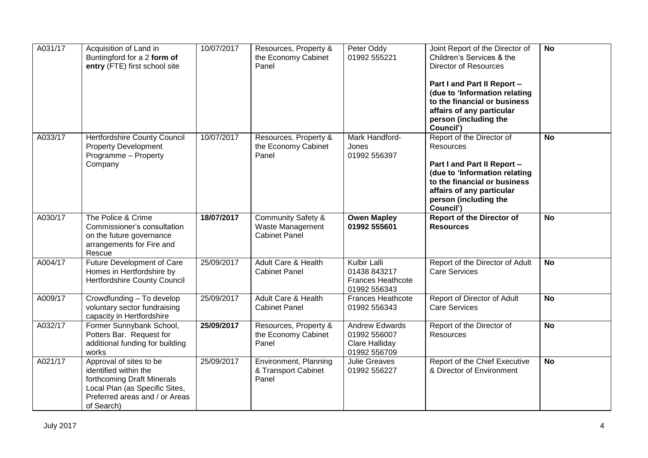| A031/17 | Acquisition of Land in<br>Buntingford for a 2 form of<br>entry (FTE) first school site                                                                           | 10/07/2017 | Resources, Property &<br>the Economy Cabinet<br>Panel                     | Peter Oddy<br>01992 555221                                                      | Joint Report of the Director of<br>Children's Services & the<br><b>Director of Resources</b><br>Part I and Part II Report -<br>(due to 'Information relating<br>to the financial or business<br>affairs of any particular<br>person (including the<br>Council') | <b>No</b>      |
|---------|------------------------------------------------------------------------------------------------------------------------------------------------------------------|------------|---------------------------------------------------------------------------|---------------------------------------------------------------------------------|-----------------------------------------------------------------------------------------------------------------------------------------------------------------------------------------------------------------------------------------------------------------|----------------|
| A033/17 | <b>Hertfordshire County Council</b><br><b>Property Development</b><br>Programme - Property<br>Company                                                            | 10/07/2017 | Resources, Property &<br>the Economy Cabinet<br>Panel                     | Mark Handford-<br>Jones<br>01992 556397                                         | Report of the Director of<br><b>Resources</b><br>Part I and Part II Report -<br>(due to 'Information relating<br>to the financial or business<br>affairs of any particular<br>person (including the<br>Council')                                                | <b>No</b>      |
| A030/17 | The Police & Crime<br>Commissioner's consultation<br>on the future governance<br>arrangements for Fire and<br>Rescue                                             | 18/07/2017 | <b>Community Safety &amp;</b><br>Waste Management<br><b>Cabinet Panel</b> | <b>Owen Mapley</b><br>01992 555601                                              | <b>Report of the Director of</b><br><b>Resources</b>                                                                                                                                                                                                            | <b>No</b>      |
| A004/17 | <b>Future Development of Care</b><br>Homes in Hertfordshire by<br><b>Hertfordshire County Council</b>                                                            | 25/09/2017 | <b>Adult Care &amp; Health</b><br><b>Cabinet Panel</b>                    | <b>Kulbir Lalli</b><br>01438 843217<br><b>Frances Heathcote</b><br>01992 556343 | Report of the Director of Adult<br><b>Care Services</b>                                                                                                                                                                                                         | <b>No</b>      |
| A009/17 | Crowdfunding - To develop<br>voluntary sector fundraising<br>capacity in Hertfordshire                                                                           | 25/09/2017 | Adult Care & Health<br><b>Cabinet Panel</b>                               | <b>Frances Heathcote</b><br>01992 556343                                        | Report of Director of Adult<br><b>Care Services</b>                                                                                                                                                                                                             | <b>No</b>      |
| A032/17 | Former Sunnybank School,<br>Potters Bar. Request for<br>additional funding for building<br>works                                                                 | 25/09/2017 | Resources, Property &<br>the Economy Cabinet<br>Panel                     | <b>Andrew Edwards</b><br>01992 556007<br>Clare Halliday<br>01992 556709         | Report of the Director of<br>Resources                                                                                                                                                                                                                          | <b>No</b>      |
| A021/17 | Approval of sites to be<br>identified within the<br>forthcoming Draft Minerals<br>Local Plan (as Specific Sites,<br>Preferred areas and / or Areas<br>of Search) | 25/09/2017 | Environment, Planning<br>& Transport Cabinet<br>Panel                     | <b>Julie Greaves</b><br>01992 556227                                            | Report of the Chief Executive<br>& Director of Environment                                                                                                                                                                                                      | $\overline{N}$ |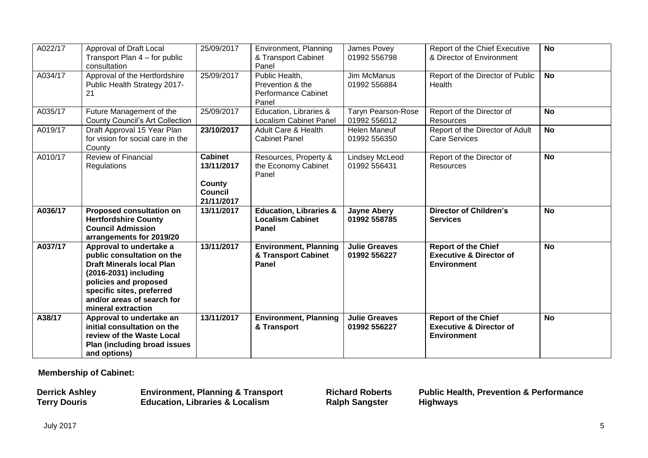| A022/17 | Approval of Draft Local<br>Transport Plan 4 – for public<br>consultation                                                                                                                                                     | 25/09/2017                                                             | Environment, Planning<br>& Transport Cabinet<br>Panel                     | James Povey<br>01992 556798               | Report of the Chief Executive<br>& Director of Environment                             | <b>No</b> |
|---------|------------------------------------------------------------------------------------------------------------------------------------------------------------------------------------------------------------------------------|------------------------------------------------------------------------|---------------------------------------------------------------------------|-------------------------------------------|----------------------------------------------------------------------------------------|-----------|
| A034/17 | Approval of the Hertfordshire<br>Public Health Strategy 2017-<br>21                                                                                                                                                          | 25/09/2017                                                             | Public Health,<br>Prevention & the<br><b>Performance Cabinet</b><br>Panel | <b>Jim McManus</b><br>01992 556884        | Report of the Director of Public<br>Health                                             | <b>No</b> |
| A035/17 | Future Management of the<br><b>County Council's Art Collection</b>                                                                                                                                                           | 25/09/2017                                                             | Education, Libraries &<br><b>Localism Cabinet Panel</b>                   | <b>Taryn Pearson-Rose</b><br>01992 556012 | Report of the Director of<br>Resources                                                 | <b>No</b> |
| A019/17 | Draft Approval 15 Year Plan<br>for vision for social care in the<br>County                                                                                                                                                   | 23/10/2017                                                             | Adult Care & Health<br><b>Cabinet Panel</b>                               | <b>Helen Maneuf</b><br>01992 556350       | Report of the Director of Adult<br><b>Care Services</b>                                | <b>No</b> |
| A010/17 | <b>Review of Financial</b><br><b>Regulations</b>                                                                                                                                                                             | <b>Cabinet</b><br>13/11/2017<br>County<br><b>Council</b><br>21/11/2017 | Resources, Property &<br>the Economy Cabinet<br>Panel                     | <b>Lindsey McLeod</b><br>01992 556431     | Report of the Director of<br>Resources                                                 | <b>No</b> |
| A036/17 | <b>Proposed consultation on</b><br><b>Hertfordshire County</b><br><b>Council Admission</b><br>arrangements for 2019/20                                                                                                       | 13/11/2017                                                             | <b>Education, Libraries &amp;</b><br><b>Localism Cabinet</b><br>Panel     | <b>Jayne Abery</b><br>01992 558785        | <b>Director of Children's</b><br><b>Services</b>                                       | <b>No</b> |
| A037/17 | Approval to undertake a<br>public consultation on the<br><b>Draft Minerals local Plan</b><br>(2016-2031) including<br>policies and proposed<br>specific sites, preferred<br>and/or areas of search for<br>mineral extraction | 13/11/2017                                                             | <b>Environment, Planning</b><br>& Transport Cabinet<br>Panel              | <b>Julie Greaves</b><br>01992 556227      | <b>Report of the Chief</b><br><b>Executive &amp; Director of</b><br><b>Environment</b> | <b>No</b> |
| A38/17  | Approval to undertake an<br>initial consultation on the<br>review of the Waste Local<br>Plan (including broad issues<br>and options)                                                                                         | 13/11/2017                                                             | <b>Environment, Planning</b><br>& Transport                               | <b>Julie Greaves</b><br>01992 556227      | <b>Report of the Chief</b><br><b>Executive &amp; Director of</b><br><b>Environment</b> | <b>No</b> |

**Membership of Cabinet:** 

| <b>Derrick Ashley</b> | <b>Environment, Planning &amp; Transport</b> | <b>Richard Roberts</b> | <b>Public Health, Prevention &amp; Performance</b> |
|-----------------------|----------------------------------------------|------------------------|----------------------------------------------------|
| <b>Terry Douris</b>   | <b>Education, Libraries &amp; Localism</b>   | <b>Ralph Sangster</b>  | Highways                                           |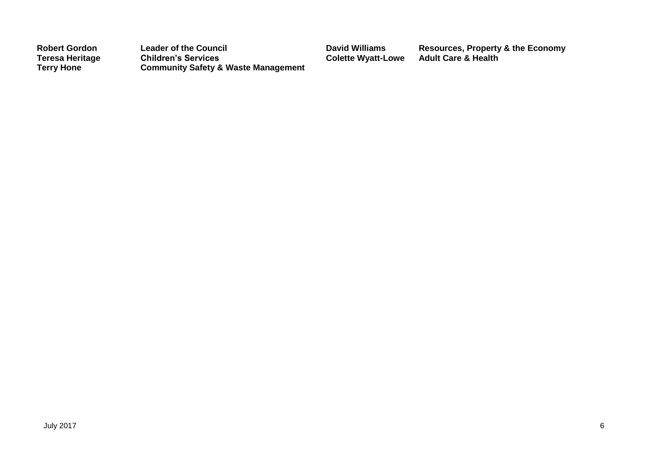| <b>Robert Gordon</b>   | <b>Leader of the Council</b>                   | <b>David Williams</b>     | Resources, Property & the Economy |
|------------------------|------------------------------------------------|---------------------------|-----------------------------------|
| <b>Teresa Heritage</b> | <b>Children's Services</b>                     | <b>Colette Wyatt-Lowe</b> | Adult Care & Health               |
| <b>Terry Hone</b>      | <b>Community Safety &amp; Waste Management</b> |                           |                                   |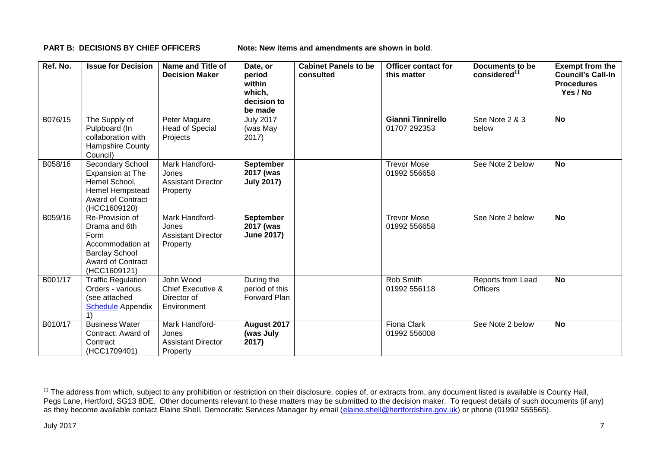**PART B: DECISIONS BY CHIEF OFFICERS Note: New items and amendments are shown in bold.** 

| Ref. No. | <b>Issue for Decision</b>                                                                                                         | Name and Title of<br><b>Decision Maker</b>                              | Date, or<br>period<br>within<br>which,<br>decision to<br>be made | <b>Cabinet Panels to be</b><br>consulted | <b>Officer contact for</b><br>this matter | Documents to be<br>considered <sup>##</sup> | <b>Exempt from the</b><br><b>Council's Call-In</b><br><b>Procedures</b><br>Yes / No |
|----------|-----------------------------------------------------------------------------------------------------------------------------------|-------------------------------------------------------------------------|------------------------------------------------------------------|------------------------------------------|-------------------------------------------|---------------------------------------------|-------------------------------------------------------------------------------------|
| B076/15  | The Supply of<br>Pulpboard (In<br>collaboration with<br>Hampshire County<br>Council)                                              | Peter Maguire<br>Head of Special<br>Projects                            | <b>July 2017</b><br>(was May<br>2017)                            |                                          | <b>Gianni Tinnirello</b><br>01707 292353  | See Note 2 & 3<br>below                     | <b>No</b>                                                                           |
| B058/16  | Secondary School<br>Expansion at The<br>Hemel School,<br>Hemel Hempstead<br><b>Award of Contract</b><br>(HCC1609120)              | Mark Handford-<br>Jones<br><b>Assistant Director</b><br>Property        | <b>September</b><br>2017 (was<br><b>July 2017)</b>               |                                          | <b>Trevor Mose</b><br>01992 556658        | See Note 2 below                            | <b>No</b>                                                                           |
| B059/16  | Re-Provision of<br>Drama and 6th<br>Form<br>Accommodation at<br><b>Barclay School</b><br><b>Award of Contract</b><br>(HCC1609121) | Mark Handford-<br>Jones<br><b>Assistant Director</b><br>Property        | <b>September</b><br>2017 (was<br><b>June 2017)</b>               |                                          | <b>Trevor Mose</b><br>01992 556658        | See Note 2 below                            | <b>No</b>                                                                           |
| B001/17  | <b>Traffic Regulation</b><br>Orders - various<br>(see attached<br><b>Schedule Appendix</b>                                        | John Wood<br><b>Chief Executive &amp;</b><br>Director of<br>Environment | During the<br>period of this<br>Forward Plan                     |                                          | Rob Smith<br>01992 556118                 | Reports from Lead<br><b>Officers</b>        | <b>No</b>                                                                           |
| B010/17  | <b>Business Water</b><br>Contract: Award of<br>Contract<br>(HCC1709401)                                                           | Mark Handford-<br>Jones<br><b>Assistant Director</b><br>Property        | August 2017<br>(was July<br>2017)                                |                                          | <b>Fiona Clark</b><br>01992 556008        | See Note 2 below                            | <b>No</b>                                                                           |

1

<sup>‡‡</sup> The address from which, subject to any prohibition or restriction on their disclosure, copies of, or extracts from, any document listed is available is County Hall, Pegs Lane, Hertford, SG13 8DE. Other documents relevant to these matters may be submitted to the decision maker. To request details of such documents (if any) as they become available contact Elaine Shell, Democratic Services Manager by email [\(elaine.shell@hertfordshire.gov.uk\)](mailto:elaine.shell@hertfordshire.gov.uk) or phone (01992 55565).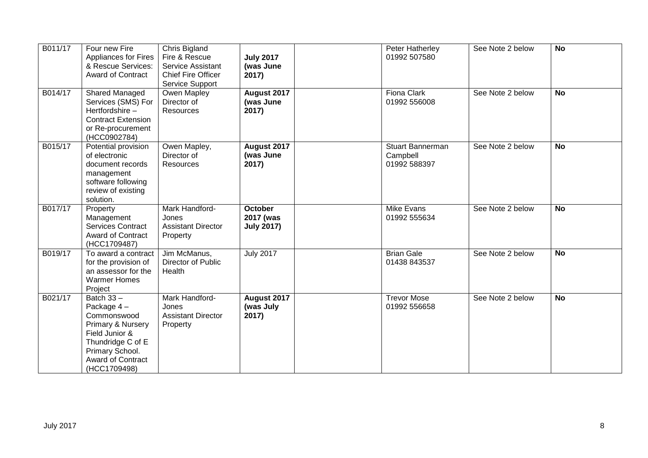| B011/17 | Four new Fire<br><b>Appliances for Fires</b><br>& Rescue Services:<br><b>Award of Contract</b>                                                                       | Chris Bigland<br>Fire & Rescue<br>Service Assistant<br><b>Chief Fire Officer</b><br>Service Support | <b>July 2017</b><br>(was June<br>2017)           | Peter Hatherley<br>01992 507580                     | See Note 2 below | <b>No</b> |
|---------|----------------------------------------------------------------------------------------------------------------------------------------------------------------------|-----------------------------------------------------------------------------------------------------|--------------------------------------------------|-----------------------------------------------------|------------------|-----------|
| B014/17 | Shared Managed<br>Services (SMS) For<br>Hertfordshire-<br><b>Contract Extension</b><br>or Re-procurement<br>(HCC0902784)                                             | Owen Mapley<br>Director of<br><b>Resources</b>                                                      | August 2017<br>(was June<br>2017)                | <b>Fiona Clark</b><br>01992 556008                  | See Note 2 below | <b>No</b> |
| B015/17 | Potential provision<br>of electronic<br>document records<br>management<br>software following<br>review of existing<br>solution.                                      | Owen Mapley,<br>Director of<br>Resources                                                            | August 2017<br>(was June<br>2017)                | <b>Stuart Bannerman</b><br>Campbell<br>01992 588397 | See Note 2 below | <b>No</b> |
| B017/17 | Property<br>Management<br><b>Services Contract</b><br><b>Award of Contract</b><br>(HCC1709487)                                                                       | Mark Handford-<br>Jones<br><b>Assistant Director</b><br>Property                                    | <b>October</b><br>2017 (was<br><b>July 2017)</b> | <b>Mike Evans</b><br>01992 555634                   | See Note 2 below | <b>No</b> |
| B019/17 | To award a contract<br>for the provision of<br>an assessor for the<br><b>Warmer Homes</b><br>Project                                                                 | Jim McManus,<br>Director of Public<br>Health                                                        | <b>July 2017</b>                                 | <b>Brian Gale</b><br>01438 843537                   | See Note 2 below | <b>No</b> |
| B021/17 | Batch $33 -$<br>Package 4-<br>Commonswood<br>Primary & Nursery<br>Field Junior &<br>Thundridge C of E<br>Primary School.<br><b>Award of Contract</b><br>(HCC1709498) | Mark Handford-<br>Jones<br><b>Assistant Director</b><br>Property                                    | August 2017<br>(was July<br>2017)                | <b>Trevor Mose</b><br>01992 556658                  | See Note 2 below | <b>No</b> |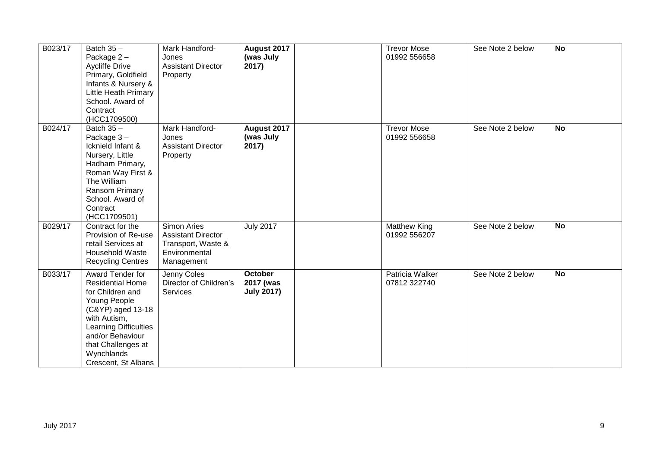| B023/17 | Batch $35 -$<br>Package 2-<br><b>Aycliffe Drive</b><br>Primary, Goldfield<br>Infants & Nursery &<br>Little Heath Primary<br>School. Award of<br>Contract<br>(HCC1709500)                                                     | Mark Handford-<br>Jones<br><b>Assistant Director</b><br>Property                                     | August 2017<br>(was July<br>2017)                | <b>Trevor Mose</b><br>01992 556658     | See Note 2 below | <b>No</b> |
|---------|------------------------------------------------------------------------------------------------------------------------------------------------------------------------------------------------------------------------------|------------------------------------------------------------------------------------------------------|--------------------------------------------------|----------------------------------------|------------------|-----------|
| B024/17 | Batch $35 -$<br>Package 3-<br>Icknield Infant &<br>Nursery, Little<br>Hadham Primary,<br>Roman Way First &<br>The William<br>Ransom Primary<br>School. Award of<br>Contract<br>(HCC1709501)                                  | Mark Handford-<br>Jones<br><b>Assistant Director</b><br>Property                                     | August 2017<br>(was July<br>2017)                | <b>Trevor Mose</b><br>01992 556658     | See Note 2 below | <b>No</b> |
| B029/17 | Contract for the<br>Provision of Re-use<br>retail Services at<br>Household Waste<br><b>Recycling Centres</b>                                                                                                                 | <b>Simon Aries</b><br><b>Assistant Director</b><br>Transport, Waste &<br>Environmental<br>Management | <b>July 2017</b>                                 | <b>Matthew King</b><br>01992 556207    | See Note 2 below | <b>No</b> |
| B033/17 | Award Tender for<br><b>Residential Home</b><br>for Children and<br>Young People<br>(C&YP) aged 13-18<br>with Autism,<br>Learning Difficulties<br>and/or Behaviour<br>that Challenges at<br>Wynchlands<br>Crescent, St Albans | Jenny Coles<br>Director of Children's<br>Services                                                    | <b>October</b><br>2017 (was<br><b>July 2017)</b> | <b>Patricia Walker</b><br>07812 322740 | See Note 2 below | <b>No</b> |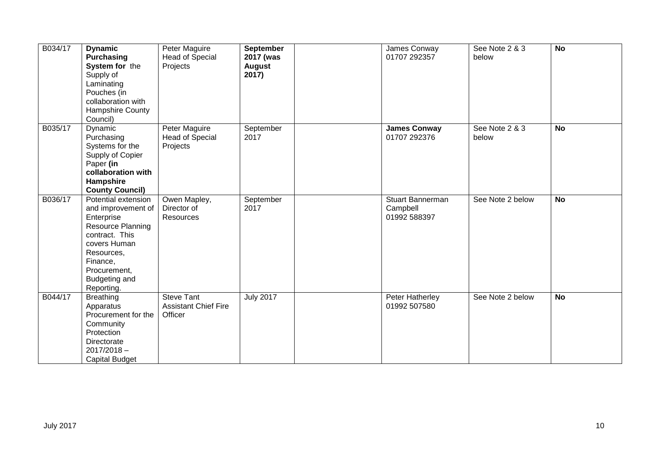| B034/17 | <b>Dynamic</b><br>Purchasing<br>System for the<br>Supply of<br>Laminating<br>Pouches (in<br>collaboration with<br>Hampshire County<br>Council)                                                 | Peter Maguire<br><b>Head of Special</b><br>Projects         | September<br>2017 (was<br><b>August</b><br>2017) | James Conway<br>01707 292357                 | See Note 2 & 3<br>below | <b>No</b> |
|---------|------------------------------------------------------------------------------------------------------------------------------------------------------------------------------------------------|-------------------------------------------------------------|--------------------------------------------------|----------------------------------------------|-------------------------|-----------|
| B035/17 | Dynamic<br>Purchasing<br>Systems for the<br>Supply of Copier<br>Paper (in<br>collaboration with<br>Hampshire<br><b>County Council)</b>                                                         | Peter Maguire<br><b>Head of Special</b><br>Projects         | September<br>2017                                | <b>James Conway</b><br>01707 292376          | See Note 2 & 3<br>below | <b>No</b> |
| B036/17 | Potential extension<br>and improvement of<br>Enterprise<br><b>Resource Planning</b><br>contract. This<br>covers Human<br>Resources,<br>Finance,<br>Procurement,<br>Budgeting and<br>Reporting. | Owen Mapley,<br>Director of<br>Resources                    | September<br>2017                                | Stuart Bannerman<br>Campbell<br>01992 588397 | See Note 2 below        | <b>No</b> |
| B044/17 | <b>Breathing</b><br>Apparatus<br>Procurement for the<br>Community<br>Protection<br>Directorate<br>$2017/2018 -$<br><b>Capital Budget</b>                                                       | <b>Steve Tant</b><br><b>Assistant Chief Fire</b><br>Officer | <b>July 2017</b>                                 | Peter Hatherley<br>01992 507580              | See Note 2 below        | <b>No</b> |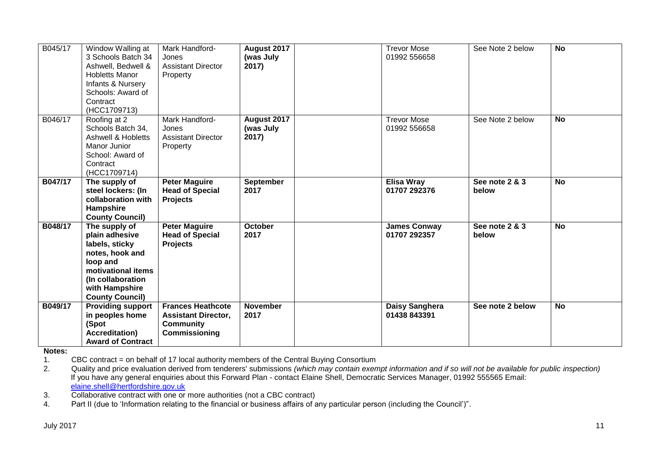| B045/17 | Window Walling at<br>3 Schools Batch 34<br>Ashwell, Bedwell &<br><b>Hobletts Manor</b><br>Infants & Nursery<br>Schools: Award of<br>Contract<br>(HCC1709713)            | Mark Handford-<br>Jones<br><b>Assistant Director</b><br>Property                            | August 2017<br>(was July<br>2017) | <b>Trevor Mose</b><br>01992 556658  | See Note 2 below        | <b>No</b> |
|---------|-------------------------------------------------------------------------------------------------------------------------------------------------------------------------|---------------------------------------------------------------------------------------------|-----------------------------------|-------------------------------------|-------------------------|-----------|
| B046/17 | Roofing at 2<br>Schools Batch 34,<br><b>Ashwell &amp; Hobletts</b><br>Manor Junior<br>School: Award of<br>Contract<br>(HCC1709714)                                      | Mark Handford-<br>Jones<br><b>Assistant Director</b><br>Property                            | August 2017<br>(was July<br>2017) | <b>Trevor Mose</b><br>01992 556658  | See Note 2 below        | <b>No</b> |
| B047/17 | The supply of<br>steel lockers: (In<br>collaboration with<br>Hampshire<br><b>County Council)</b>                                                                        | <b>Peter Maguire</b><br><b>Head of Special</b><br><b>Projects</b>                           | <b>September</b><br>2017          | <b>Elisa Wray</b><br>01707 292376   | See note 2 & 3<br>below | <b>No</b> |
| B048/17 | The supply of<br>plain adhesive<br>labels, sticky<br>notes, hook and<br>loop and<br>motivational items<br>(In collaboration<br>with Hampshire<br><b>County Council)</b> | <b>Peter Maguire</b><br><b>Head of Special</b><br><b>Projects</b>                           | <b>October</b><br>2017            | <b>James Conway</b><br>01707 292357 | See note 2 & 3<br>below | <b>No</b> |
| B049/17 | <b>Providing support</b><br>in peoples home<br>(Spot<br><b>Accreditation)</b><br><b>Award of Contract</b>                                                               | <b>Frances Heathcote</b><br><b>Assistant Director,</b><br><b>Community</b><br>Commissioning | <b>November</b><br>2017           | Daisy Sanghera<br>01438 843391      | See note 2 below        | <b>No</b> |

**Notes:** 

1. CBC contract = on behalf of 17 local authority members of the Central Buying Consortium<br>2. Quality and price evaluation derived from tenderers' submissions (which may contain exen

Quality and price evaluation derived from tenderers' submissions *(which may contain exempt information and if so will not be available for public inspection)* If you have any general enquiries about this Forward Plan - contact Elaine Shell, Democratic Services Manager, 01992 555565 Email: [elaine.shell@hertfordshire.gov.uk](mailto:elaine.shell@hertfordshire.gov.uk) 

3. Collaborative contract with one or more authorities (not a CBC contract)

4. Part II (due to 'Information relating to the financial or business affairs of any particular person (including the Council')".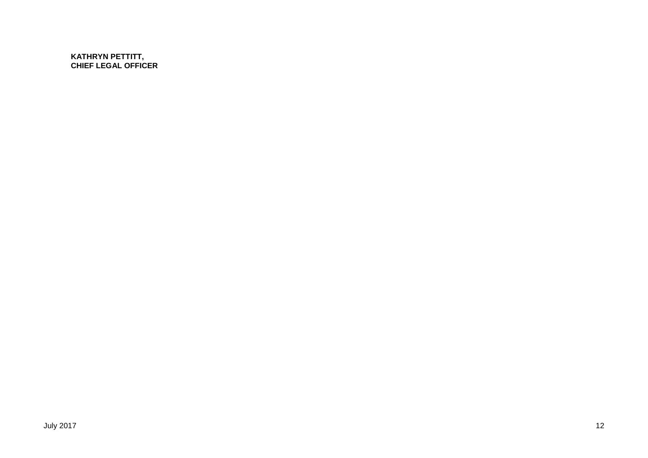**KATHRYN PETTITT, CHIEF LEGAL OFFICER**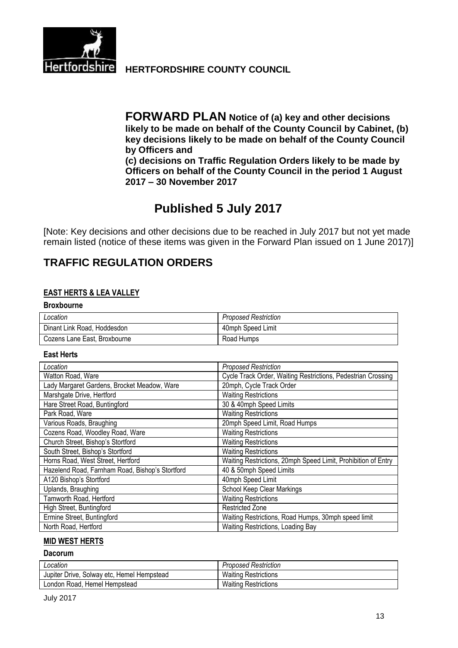

**Hertfordshire HERTFORDSHIRE COUNTY COUNCIL** 

**FORWARD PLAN Notice of (a) key and other decisions likely to be made on behalf of the County Council by Cabinet, (b) key decisions likely to be made on behalf of the County Council by Officers and (c) decisions on Traffic Regulation Orders likely to be made by Officers on behalf of the County Council in the period 1 August 2017 – 30 November 2017**

# **Published 5 July 2017**

[Note: Key decisions and other decisions due to be reached in July 2017 but not yet made remain listed (notice of these items was given in the Forward Plan issued on 1 June 2017)]

# **TRAFFIC REGULATION ORDERS**

#### **EAST HERTS & LEA VALLEY**

| <b>Broxbourne</b>            |                      |
|------------------------------|----------------------|
| Location                     | Proposed Restriction |
| Dinant Link Road, Hoddesdon  | 40mph Speed Limit    |
| Cozens Lane East, Broxbourne | Road Humps           |

#### **East Herts**

| Location                                        | <b>Proposed Restriction</b>                                   |
|-------------------------------------------------|---------------------------------------------------------------|
| Watton Road, Ware                               | Cycle Track Order, Waiting Restrictions, Pedestrian Crossing  |
| Lady Margaret Gardens, Brocket Meadow, Ware     | 20mph, Cycle Track Order                                      |
| Marshgate Drive, Hertford                       | <b>Waiting Restrictions</b>                                   |
| Hare Street Road, Buntingford                   | 30 & 40mph Speed Limits                                       |
| Park Road, Ware                                 | <b>Waiting Restrictions</b>                                   |
| Various Roads, Braughing                        | 20mph Speed Limit, Road Humps                                 |
| Cozens Road, Woodley Road, Ware                 | <b>Waiting Restrictions</b>                                   |
| Church Street, Bishop's Stortford               | <b>Waiting Restrictions</b>                                   |
| South Street, Bishop's Stortford                | <b>Waiting Restrictions</b>                                   |
| Horns Road, West Street, Hertford               | Waiting Restrictions, 20mph Speed Limit, Prohibition of Entry |
| Hazelend Road, Farnham Road, Bishop's Stortford | 40 & 50mph Speed Limits                                       |
| A120 Bishop's Stortford                         | 40mph Speed Limit                                             |
| Uplands, Braughing                              | School Keep Clear Markings                                    |
| Tamworth Road, Hertford                         | <b>Waiting Restrictions</b>                                   |
| High Street, Buntingford                        | <b>Restricted Zone</b>                                        |
| Ermine Street, Buntingford                      | Waiting Restrictions, Road Humps, 30mph speed limit           |
| North Road, Hertford                            | Waiting Restrictions, Loading Bay                             |

#### **MID WEST HERTS**

#### **Dacorum**

| Location                                   | <b>Proposed Restriction</b> |
|--------------------------------------------|-----------------------------|
| Jupiter Drive, Solway etc, Hemel Hempstead | <b>Waiting Restrictions</b> |
| London Road, Hemel Hempstead               | <b>Waiting Restrictions</b> |